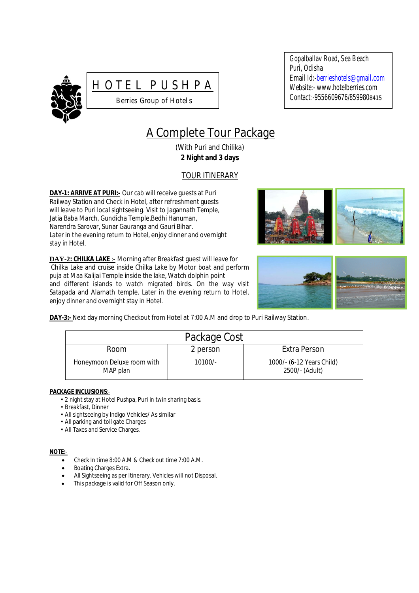



Gopalballav Road, Sea Beach Puri, Odisha Email Id:-berrieshotels@gmail.com Website:- www.hotelberries.com Contact*:-*9556609676/8599808415

# A Complete Tour Package

(With Puri and Chilika) **2 Night and 3 days**

# TOUR ITINERARY

**DAY-1: ARRIVE AT PURI:-** Our cab will receive guests at Puri Railway Station and Check in Hotel, after refreshment guests will leave to Puri local sightseeing. Visit to Jagannath Temple, Jatia Baba March, Gundicha Temple,Bedhi Hanuman, Narendra Sarovar, Sunar Gauranga and Gauri Bihar. Later in the evening return to Hotel, enjoy dinner and overnight stay in Hotel*.*

**DAY-2: CHILKA LAKE** :- Morning after Breakfast guest will leave for Chilka Lake and cruise inside Chilka Lake by Motor boat and perform puja at Maa Kalijai Temple inside the lake, Watch dolphin point and different islands to watch migrated birds. On the way visit Satapada and Alarnath temple. Later in the evening return to Hotel, enjoy dinner and overnight stay in Hotel.





**DAY-3:-** Next day morning Checkout from Hotel at 7:00 A.M and drop to Puri Railway Station.

| Package Cost                           |           |                                             |  |
|----------------------------------------|-----------|---------------------------------------------|--|
| Room                                   | 2 person  | Extra Person                                |  |
| Honeymoon Deluxe room with<br>MAP plan | $10100/-$ | 1000/- (6-12 Years Child)<br>2500/- (Adult) |  |

## **PACKAGE INCLUSIONS**:-

- 2 night stay at Hotel Pushpa, Puri in twin sharing basis.
- Breakfast, Dinner
- All sightseeing by Indigo Vehicles/ As similar
- All parking and toll gate Charges
- All Taxes and Service Charges.

## **NOTE:**-

- Check In time 8:00 A.M & Check out time 7:00 A.M.
- Boating Charges Extra.
- All Sightseeing as per Itinerary. Vehicles will not Disposal.
- This package is valid for Off Season only.